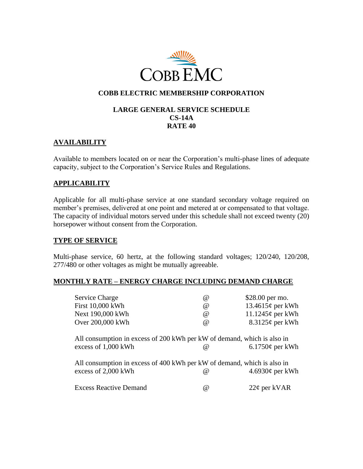

# **COBB ELECTRIC MEMBERSHIP CORPORATION**

### **LARGE GENERAL SERVICE SCHEDULE CS-14A RATE 40**

# **AVAILABILITY**

Available to members located on or near the Corporation's multi-phase lines of adequate capacity, subject to the Corporation's Service Rules and Regulations.

# **APPLICABILITY**

Applicable for all multi-phase service at one standard secondary voltage required on member's premises, delivered at one point and metered at or compensated to that voltage. The capacity of individual motors served under this schedule shall not exceed twenty (20) horsepower without consent from the Corporation.

### **TYPE OF SERVICE**

Multi-phase service, 60 hertz, at the following standard voltages; 120/240, 120/208, 277/480 or other voltages as might be mutually agreeable.

### **MONTHLY RATE – ENERGY CHARGE INCLUDING DEMAND CHARGE**

| Service Charge                                                                                                                      | @        | \$28.00 per mo.           |
|-------------------------------------------------------------------------------------------------------------------------------------|----------|---------------------------|
| First 10,000 kWh                                                                                                                    | @        | 13.4615 $\varphi$ per kWh |
| Next 190,000 kWh                                                                                                                    | @        | $11.1245\phi$ per kWh     |
| Over 200,000 kWh                                                                                                                    | $\omega$ | $8.3125\phi$ per kWh      |
| All consumption in excess of 200 kWh per kW of demand, which is also in<br>excess of 1,000 kWh                                      | @)       | $6.1750\phi$ per kWh      |
| All consumption in excess of 400 kWh per kW of demand, which is also in<br>excess of 2,000 kWh<br>4.6930 $\phi$ per kWh<br>$\omega$ |          |                           |
| <b>Excess Reactive Demand</b>                                                                                                       | @)       | $22¢$ per kVAR            |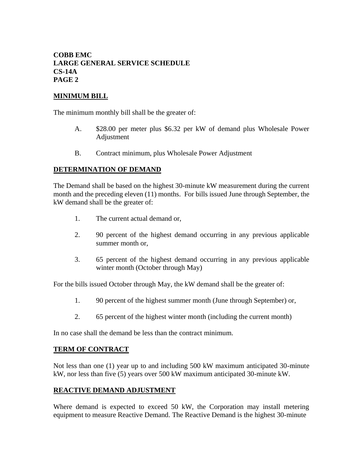# **COBB EMC LARGE GENERAL SERVICE SCHEDULE CS-14A PAGE 2**

## **MINIMUM BILL**

The minimum monthly bill shall be the greater of:

- A. \$28.00 per meter plus \$6.32 per kW of demand plus Wholesale Power Adjustment
- B. Contract minimum, plus Wholesale Power Adjustment

## **DETERMINATION OF DEMAND**

The Demand shall be based on the highest 30-minute kW measurement during the current month and the preceding eleven (11) months. For bills issued June through September, the kW demand shall be the greater of:

- 1. The current actual demand or,
- 2. 90 percent of the highest demand occurring in any previous applicable summer month or,
- 3. 65 percent of the highest demand occurring in any previous applicable winter month (October through May)

For the bills issued October through May, the kW demand shall be the greater of:

- 1. 90 percent of the highest summer month (June through September) or,
- 2. 65 percent of the highest winter month (including the current month)

In no case shall the demand be less than the contract minimum.

### **TERM OF CONTRACT**

Not less than one (1) year up to and including 500 kW maximum anticipated 30-minute kW, nor less than five (5) years over 500 kW maximum anticipated 30-minute kW.

### **REACTIVE DEMAND ADJUSTMENT**

Where demand is expected to exceed 50 kW, the Corporation may install metering equipment to measure Reactive Demand. The Reactive Demand is the highest 30-minute